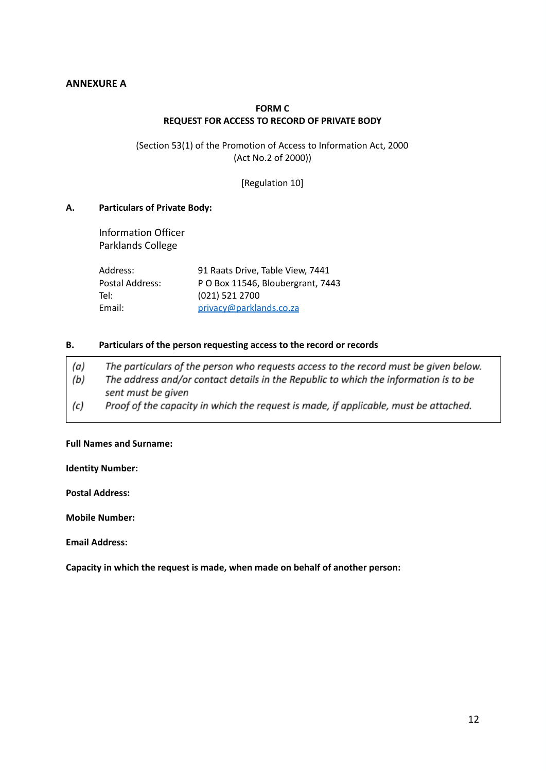## **ANNEXURE A**

### **FORM C REQUEST FOR ACCESS TO RECORD OF PRIVATE BODY**

(Section 53(1) of the Promotion of Access to Information Act, 2000 (Act No.2 of 2000))

[Regulation 10]

#### **A. Particulars of Private Body:**

Information Officer Parklands College

| Address:        | 91 Raats Drive, Table View, 7441  |
|-----------------|-----------------------------------|
| Postal Address: | P O Box 11546, Bloubergrant, 7443 |
| Tel:            | (021) 521 2700                    |
| Email:          | privacy@parklands.co.za           |

#### **B. Particulars of the person requesting access to the record or records**

| (a) | The particulars of the person who requests access to the record must be given below. |
|-----|--------------------------------------------------------------------------------------|
| (b) | The address and/or contact details in the Republic to which the information is to be |
|     | sent must be given                                                                   |
| (c) | Proof of the capacity in which the request is made, if applicable, must be attached. |

### **Full Names and Surname:**

**Identity Number:**

**Postal Address:**

**Mobile Number:**

**Email Address:**

**Capacity in which the request is made, when made on behalf of another person:**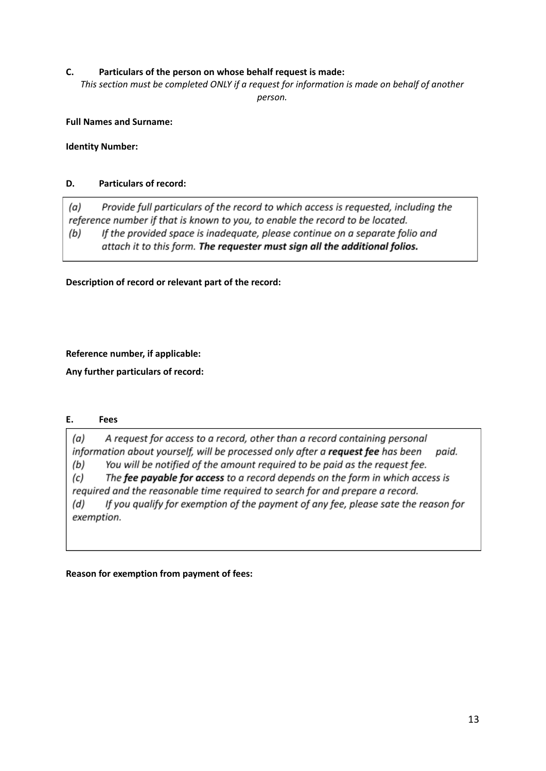## **C. Particulars of the person on whose behalf request is made:**

*This section must be completed ONLY if a request for information is made on behalf of another person.*

### **Full Names and Surname:**

**Identity Number:**

# **D. Particulars of record:**

 $(a)$ Provide full particulars of the record to which access is requested, including the reference number if that is known to you, to enable the record to be located. If the provided space is inadequate, please continue on a separate folio and (b) attach it to this form. The requester must sign all the additional folios.

**Description of record or relevant part of the record:**

**Reference number, if applicable:**

**Any further particulars of record:**

### **E. Fees**

 $(a)$ A request for access to a record, other than a record containing personal information about yourself, will be processed only after a request fee has been paid. You will be notified of the amount required to be paid as the request fee.  $(b)$ 

The fee payable for access to a record depends on the form in which access is (c) required and the reasonable time required to search for and prepare a record.

 $(d)$ If you qualify for exemption of the payment of any fee, please sate the reason for exemption.

**Reason for exemption from payment of fees:**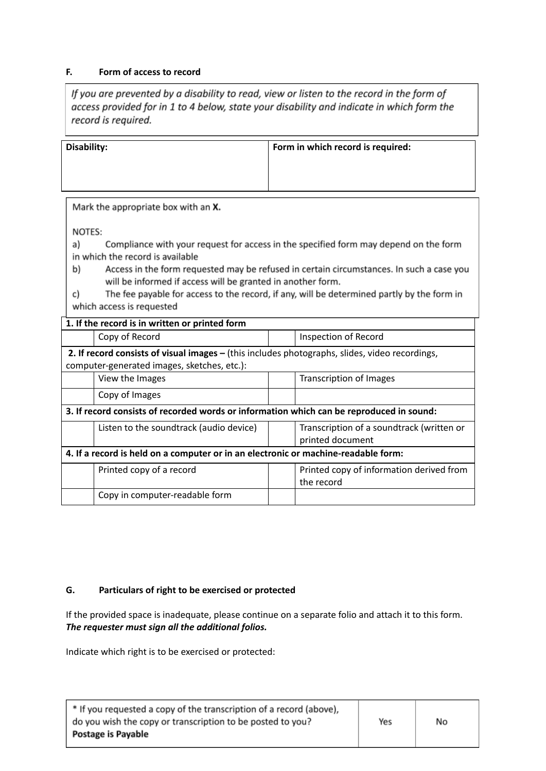### **F. Form of access to record**

If you are prevented by a disability to read, view or listen to the record in the form of access provided for in 1 to 4 below, state your disability and indicate in which form the record is required.

| Disability: | Form in which record is required: |
|-------------|-----------------------------------|
|             |                                   |
|             |                                   |

Mark the appropriate box with an X.

NOTES:

a) Compliance with your request for access in the specified form may depend on the form in which the record is available

Access in the form requested may be refused in certain circumstances. In such a case you b) will be informed if access will be granted in another form.

| c) | The fee payable for access to the record, if any, will be determined partly by the form in |  |  |  |
|----|--------------------------------------------------------------------------------------------|--|--|--|
|    | which access is requested                                                                  |  |  |  |

|                                                                                                | 1. If the record is in written or printed form                                     |  |                                           |
|------------------------------------------------------------------------------------------------|------------------------------------------------------------------------------------|--|-------------------------------------------|
|                                                                                                | Copy of Record                                                                     |  | Inspection of Record                      |
| 2. If record consists of visual images - (this includes photographs, slides, video recordings, |                                                                                    |  |                                           |
|                                                                                                | computer-generated images, sketches, etc.):                                        |  |                                           |
|                                                                                                | View the Images                                                                    |  | Transcription of Images                   |
|                                                                                                | Copy of Images                                                                     |  |                                           |
| 3. If record consists of recorded words or information which can be reproduced in sound:       |                                                                                    |  |                                           |
|                                                                                                | Listen to the soundtrack (audio device)                                            |  | Transcription of a soundtrack (written or |
|                                                                                                |                                                                                    |  | printed document                          |
|                                                                                                | 4. If a record is held on a computer or in an electronic or machine-readable form: |  |                                           |
|                                                                                                | Printed copy of a record                                                           |  | Printed copy of information derived from  |
|                                                                                                |                                                                                    |  | the record                                |
|                                                                                                | Copy in computer-readable form                                                     |  |                                           |

### **G. Particulars of right to be exercised or protected**

If the provided space is inadequate, please continue on a separate folio and attach it to this form. *The requester must sign all the additional folios.*

Indicate which right is to be exercised or protected:

| * If you requested a copy of the transcription of a record (above), |     |    |  |
|---------------------------------------------------------------------|-----|----|--|
| do you wish the copy or transcription to be posted to you?          | Yes | No |  |
| Postage is Payable                                                  |     |    |  |